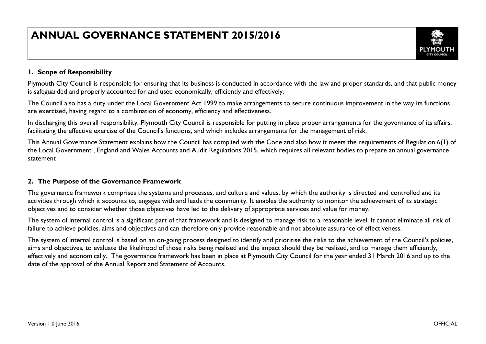# **ANNUAL GOVERNANCE STATEMENT 2015/2016**



# **1. Scope of Responsibility**

Plymouth City Council is responsible for ensuring that its business is conducted in accordance with the law and proper standards, and that public money is safeguarded and properly accounted for and used economically, efficiently and effectively.

The Council also has a duty under the Local Government Act 1999 to make arrangements to secure continuous improvement in the way its functions are exercised, having regard to a combination of economy, efficiency and effectiveness.

In discharging this overall responsibility, Plymouth City Council is responsible for putting in place proper arrangements for the governance of its affairs, facilitating the effective exercise of the Council's functions, and which includes arrangements for the management of risk.

This Annual Governance Statement explains how the Council has complied with the Code and also how it meets the requirements of Regulation 6(1) of the Local Government , England and Wales Accounts and Audit Regulations 2015, which requires all relevant bodies to prepare an annual governance statement

# **2. The Purpose of the Governance Framework**

The governance framework comprises the systems and processes, and culture and values, by which the authority is directed and controlled and its activities through which it accounts to, engages with and leads the community. It enables the authority to monitor the achievement of its strategic objectives and to consider whether those objectives have led to the delivery of appropriate services and value for money.

The system of internal control is a significant part of that framework and is designed to manage risk to a reasonable level. It cannot eliminate all risk of failure to achieve policies, aims and objectives and can therefore only provide reasonable and not absolute assurance of effectiveness.

The system of internal control is based on an on-going process designed to identify and prioritise the risks to the achievement of the Council's policies, aims and objectives, to evaluate the likelihood of those risks being realised and the impact should they be realised, and to manage them efficiently, effectively and economically. The governance framework has been in place at Plymouth City Council for the year ended 31 March 2016 and up to the date of the approval of the Annual Report and Statement of Accounts.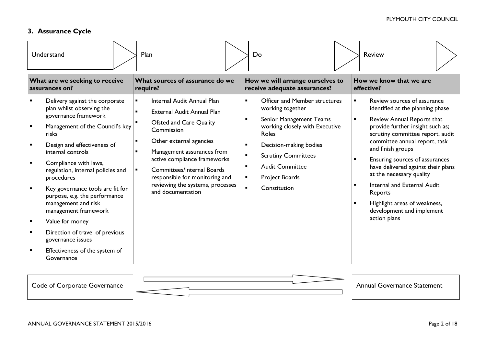# **3. Assurance Cycle**

| Understand                                                                                                                                                                                                                                                                                                                                                                                                                                                                                                     | Plan                                                                                                                                                                                                                                                                                                                                                | Do                                                                                                                                                                                                                                                                                                                                                             | <b>Review</b>                                                                                                                                                                                                                                                                                                                                                                                                                                                                              |
|----------------------------------------------------------------------------------------------------------------------------------------------------------------------------------------------------------------------------------------------------------------------------------------------------------------------------------------------------------------------------------------------------------------------------------------------------------------------------------------------------------------|-----------------------------------------------------------------------------------------------------------------------------------------------------------------------------------------------------------------------------------------------------------------------------------------------------------------------------------------------------|----------------------------------------------------------------------------------------------------------------------------------------------------------------------------------------------------------------------------------------------------------------------------------------------------------------------------------------------------------------|--------------------------------------------------------------------------------------------------------------------------------------------------------------------------------------------------------------------------------------------------------------------------------------------------------------------------------------------------------------------------------------------------------------------------------------------------------------------------------------------|
| What are we seeking to receive<br>assurances on?                                                                                                                                                                                                                                                                                                                                                                                                                                                               | What sources of assurance do we<br>require?                                                                                                                                                                                                                                                                                                         | How we will arrange ourselves to<br>receive adequate assurances?                                                                                                                                                                                                                                                                                               | How we know that we are<br>effective?                                                                                                                                                                                                                                                                                                                                                                                                                                                      |
| Delivery against the corporate<br>plan whilst observing the<br>governance framework<br>Management of the Council's key<br>risks<br>Design and effectiveness of<br>internal controls<br>Compliance with laws,<br>regulation, internal policies and<br>procedures<br>Key governance tools are fit for<br>purpose, e.g. the performance<br>management and risk<br>management framework<br>Value for money<br>Direction of travel of previous<br>governance issues<br>Effectiveness of the system of<br>Governance | Internal Audit Annual Plan<br>$\blacksquare$<br><b>External Audit Annual Plan</b><br>Ofsted and Care Quality<br>Commission<br>Other external agencies<br>Management assurances from<br>active compliance frameworks<br><b>Committees/Internal Boards</b><br>responsible for monitoring and<br>reviewing the systems, processes<br>and documentation | <b>Officer and Member structures</b><br>working together<br>Senior Management Teams<br>$\blacksquare$<br>working closely with Executive<br>Roles<br>Decision-making bodies<br>$\blacksquare$<br><b>Scrutiny Committees</b><br>$\blacksquare$<br><b>Audit Committee</b><br>$\blacksquare$<br>Project Boards<br>$\blacksquare$<br>$\blacksquare$<br>Constitution | Review sources of assurance<br>$\blacksquare$<br>identified at the planning phase<br>Review Annual Reports that<br>$\blacksquare$<br>provide further insight such as;<br>scrutiny committee report, audit<br>committee annual report, task<br>and finish groups<br>Ensuring sources of assurances<br>have delivered against their plans<br>at the necessary quality<br>Internal and External Audit<br>Reports<br>Highlight areas of weakness,<br>development and implement<br>action plans |

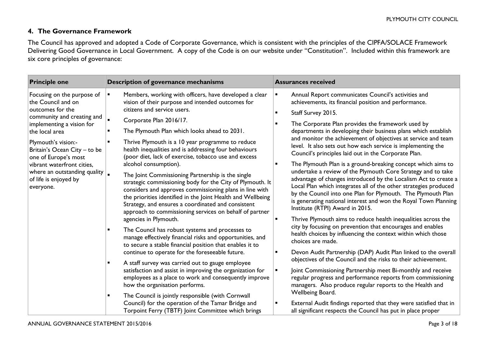# **4. The Governance Framework**

The Council has approved and adopted a Code of Corporate Governance, which is consistent with the principles of the CIPFA/SOLACE Framework Delivering Good Governance in Local Government. A copy of the Code is on our website under "Constitution". Included within this framework are six core principles of governance:

| <b>Principle one</b>                                                        | Description of governance mechanisms                                                                                                                                                                                                                                                                                                                                                                                                                                                                                                                                                                              | <b>Assurances received</b>                                                                                                                                                                                                                                                                                                                                                |  |  |
|-----------------------------------------------------------------------------|-------------------------------------------------------------------------------------------------------------------------------------------------------------------------------------------------------------------------------------------------------------------------------------------------------------------------------------------------------------------------------------------------------------------------------------------------------------------------------------------------------------------------------------------------------------------------------------------------------------------|---------------------------------------------------------------------------------------------------------------------------------------------------------------------------------------------------------------------------------------------------------------------------------------------------------------------------------------------------------------------------|--|--|
| Focusing on the purpose of<br>the Council and on                            | Members, working with officers, have developed a clear<br>$\blacksquare$<br>vision of their purpose and intended outcomes for                                                                                                                                                                                                                                                                                                                                                                                                                                                                                     | Annual Report communicates Council's activities and<br>$\blacksquare$<br>achievements, its financial position and performance.                                                                                                                                                                                                                                            |  |  |
| outcomes for the                                                            | citizens and service users.                                                                                                                                                                                                                                                                                                                                                                                                                                                                                                                                                                                       | Staff Survey 2015.                                                                                                                                                                                                                                                                                                                                                        |  |  |
| community and creating and<br>implementing a vision for                     | $\blacksquare$<br>Corporate Plan 2016/17.                                                                                                                                                                                                                                                                                                                                                                                                                                                                                                                                                                         | The Corporate Plan provides the framework used by                                                                                                                                                                                                                                                                                                                         |  |  |
| the local area                                                              | The Plymouth Plan which looks ahead to 2031.                                                                                                                                                                                                                                                                                                                                                                                                                                                                                                                                                                      | departments in developing their business plans which establish                                                                                                                                                                                                                                                                                                            |  |  |
| Plymouth's vision:-<br>Britain's Ocean City - to be<br>one of Europe's most | Thrive Plymouth is a 10 year programme to reduce<br>health inequalities and is addressing four behaviours<br>(poor diet, lack of exercise, tobacco use and excess                                                                                                                                                                                                                                                                                                                                                                                                                                                 | and monitor the achievement of objectives at service and team<br>level. It also sets out how each service is implementing the<br>Council's principles laid out in the Corporate Plan.                                                                                                                                                                                     |  |  |
| vibrant waterfront cities,                                                  | alcohol consumption).                                                                                                                                                                                                                                                                                                                                                                                                                                                                                                                                                                                             | The Plymouth Plan is a ground-breaking concept which aims to                                                                                                                                                                                                                                                                                                              |  |  |
| where an outstanding quality  <br>of life is enjoyed by<br>everyone.        | The Joint Commissioning Partnership is the single<br>strategic commissioning body for the City of Plymouth. It<br>considers and approves commissioning plans in line with<br>the priorities identified in the Joint Health and Wellbeing<br>Strategy, and ensures a coordinated and consistent<br>approach to commissioning services on behalf of partner<br>agencies in Plymouth.<br>The Council has robust systems and processes to<br>manage effectively financial risks and opportunities, and<br>to secure a stable financial position that enables it to<br>continue to operate for the foreseeable future. | undertake a review of the Plymouth Core Strategy and to take<br>advantage of changes introduced by the Localism Act to create a<br>Local Plan which integrates all of the other strategies produced<br>by the Council into one Plan for Plymouth. The Plymouth Plan<br>is generating national interest and won the Royal Town Planning<br>Institute (RTPI) Award in 2015. |  |  |
|                                                                             |                                                                                                                                                                                                                                                                                                                                                                                                                                                                                                                                                                                                                   | Thrive Plymouth aims to reduce health inequalities across the                                                                                                                                                                                                                                                                                                             |  |  |
|                                                                             |                                                                                                                                                                                                                                                                                                                                                                                                                                                                                                                                                                                                                   | city by focusing on prevention that encourages and enables<br>health choices by influencing the context within which those<br>choices are made.                                                                                                                                                                                                                           |  |  |
|                                                                             |                                                                                                                                                                                                                                                                                                                                                                                                                                                                                                                                                                                                                   | Devon Audit Partnership (DAP) Audit Plan linked to the overall                                                                                                                                                                                                                                                                                                            |  |  |
|                                                                             | A staff survey was carried out to gauge employee                                                                                                                                                                                                                                                                                                                                                                                                                                                                                                                                                                  | objectives of the Council and the risks to their achievement.                                                                                                                                                                                                                                                                                                             |  |  |
|                                                                             | satisfaction and assist in improving the organization for<br>employees as a place to work and consequently improve<br>how the organisation performs.                                                                                                                                                                                                                                                                                                                                                                                                                                                              | Joint Commissioning Partnership meet Bi-monthly and receive<br>$\blacksquare$<br>regular progress and performance reports from commissioning<br>managers. Also produce regular reports to the Health and                                                                                                                                                                  |  |  |
|                                                                             | The Council is jointly responsible (with Cornwall                                                                                                                                                                                                                                                                                                                                                                                                                                                                                                                                                                 | Wellbeing Board.                                                                                                                                                                                                                                                                                                                                                          |  |  |
|                                                                             | Council) for the operation of the Tamar Bridge and<br>Torpoint Ferry (TBTF) Joint Committee which brings                                                                                                                                                                                                                                                                                                                                                                                                                                                                                                          | External Audit findings reported that they were satisfied that in<br>all significant respects the Council has put in place proper                                                                                                                                                                                                                                         |  |  |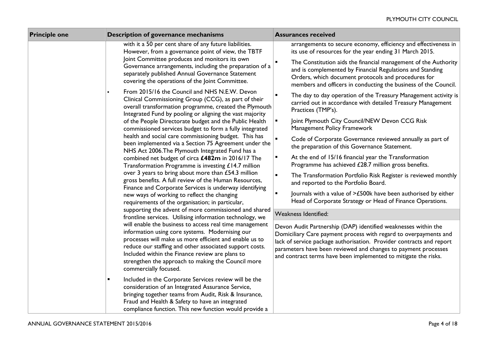| <b>Principle one</b> | Description of governance mechanisms                                                                                                                                                                                                                                                                                                                                                                                                                                                                                                                                                                                                                       | <b>Assurances received</b>                                                                                                                                                                                                                                                                                                                      |
|----------------------|------------------------------------------------------------------------------------------------------------------------------------------------------------------------------------------------------------------------------------------------------------------------------------------------------------------------------------------------------------------------------------------------------------------------------------------------------------------------------------------------------------------------------------------------------------------------------------------------------------------------------------------------------------|-------------------------------------------------------------------------------------------------------------------------------------------------------------------------------------------------------------------------------------------------------------------------------------------------------------------------------------------------|
|                      | with it a 50 per cent share of any future liabilities.<br>However, from a governance point of view, the TBTF                                                                                                                                                                                                                                                                                                                                                                                                                                                                                                                                               | arrangements to secure economy, efficiency and effectiveness in<br>its use of resources for the year ending 31 March 2015.                                                                                                                                                                                                                      |
|                      | Joint Committee produces and monitors its own<br>Governance arrangements, including the preparation of a<br>separately published Annual Governance Statement<br>covering the operations of the Joint Committee.                                                                                                                                                                                                                                                                                                                                                                                                                                            | $\blacksquare$<br>The Constitution aids the financial management of the Authority<br>and is complemented by Financial Regulations and Standing<br>Orders, which document protocols and procedures for<br>members and officers in conducting the business of the Council.                                                                        |
|                      | From 2015/16 the Council and NHS N.E.W. Devon<br>Clinical Commissioning Group (CCG), as part of their<br>overall transformation programme, created the Plymouth<br>Integrated Fund by pooling or aligning the vast majority                                                                                                                                                                                                                                                                                                                                                                                                                                | The day to day operation of the Treasury Management activity is<br>$\blacksquare$<br>carried out in accordance with detailed Treasury Management<br>Practices (TMP's).                                                                                                                                                                          |
|                      | of the People Directorate budget and the Public Health<br>commissioned services budget to form a fully integrated                                                                                                                                                                                                                                                                                                                                                                                                                                                                                                                                          | Joint Plymouth City Council/NEW Devon CCG Risk<br>$\blacksquare$<br>Management Policy Framework                                                                                                                                                                                                                                                 |
|                      | health and social care commissioning budget. This has<br>been implemented via a Section 75 Agreement under the<br>NHS Act 2006. The Plymouth Integrated Fund has a                                                                                                                                                                                                                                                                                                                                                                                                                                                                                         | Code of Corporate Governance reviewed annually as part of<br>the preparation of this Governance Statement.                                                                                                                                                                                                                                      |
|                      | combined net budget of circa £482m in 2016/17 The<br>Transformation Programme is investing £14.7 million                                                                                                                                                                                                                                                                                                                                                                                                                                                                                                                                                   | At the end of 15/16 financial year the Transformation<br>٠<br>Programme has achieved £28.7 million gross benefits.                                                                                                                                                                                                                              |
|                      | over 3 years to bring about more than £54.3 million<br>gross benefits. A full review of the Human Resources,                                                                                                                                                                                                                                                                                                                                                                                                                                                                                                                                               | $\blacksquare$<br>The Transformation Portfolio Risk Register is reviewed monthly<br>and reported to the Portfolio Board.                                                                                                                                                                                                                        |
|                      | Finance and Corporate Services is underway identifying<br>new ways of working to reflect the changing<br>requirements of the organisation; in particular,                                                                                                                                                                                                                                                                                                                                                                                                                                                                                                  | Journals with a value of >£500k have been authorised by either<br>Head of Corporate Strategy or Head of Finance Operations.                                                                                                                                                                                                                     |
|                      | supporting the advent of more commissioned and shared<br>frontline services. Utilising information technology, we                                                                                                                                                                                                                                                                                                                                                                                                                                                                                                                                          | Weakness Identified:                                                                                                                                                                                                                                                                                                                            |
|                      | will enable the business to access real time management<br>information using core systems. Modernising our<br>processes will make us more efficient and enable us to<br>reduce our staffing and other associated support costs.<br>Included within the Finance review are plans to<br>strengthen the approach to making the Council more<br>commercially focused.<br>Included in the Corporate Services review will be the<br>٠<br>consideration of an Integrated Assurance Service,<br>bringing together teams from Audit, Risk & Insurance,<br>Fraud and Health & Safety to have an integrated<br>compliance function. This new function would provide a | Devon Audit Partnership (DAP) identified weaknesses within the<br>Domiciliary Care payment process with regard to overpayments and<br>lack of service package authorisation. Provider contracts and report<br>parameters have been reviewed and changes to payment processes<br>and contract terms have been implemented to mitigate the risks. |
|                      |                                                                                                                                                                                                                                                                                                                                                                                                                                                                                                                                                                                                                                                            |                                                                                                                                                                                                                                                                                                                                                 |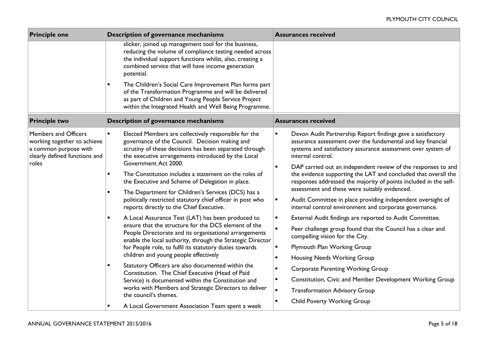| <b>Principle one</b><br>Description of governance mechanisms                                                                                                                                                                      |                                                                                                                                                                                                                                                                  | <b>Assurances received</b>                                                                                                                                                                                                                                                                                           |  |  |
|-----------------------------------------------------------------------------------------------------------------------------------------------------------------------------------------------------------------------------------|------------------------------------------------------------------------------------------------------------------------------------------------------------------------------------------------------------------------------------------------------------------|----------------------------------------------------------------------------------------------------------------------------------------------------------------------------------------------------------------------------------------------------------------------------------------------------------------------|--|--|
|                                                                                                                                                                                                                                   | slicker, joined up management tool for the business,<br>reducing the volume of compliance testing needed across<br>the individual support functions whilst, also, creating a<br>combined service that will have income generation<br>potential.                  |                                                                                                                                                                                                                                                                                                                      |  |  |
| The Children's Social Care Improvement Plan forms part<br>of the Transformation Programme and will be delivered<br>as part of Children and Young People Service Project<br>within the Integrated Health and Well Being Programme. |                                                                                                                                                                                                                                                                  |                                                                                                                                                                                                                                                                                                                      |  |  |
| <b>Principle two</b>                                                                                                                                                                                                              | Description of governance mechanisms                                                                                                                                                                                                                             | <b>Assurances received</b>                                                                                                                                                                                                                                                                                           |  |  |
| Members and Officers<br>working together to achieve<br>a common purpose with<br>clearly defined functions and<br>roles                                                                                                            | Elected Members are collectively responsible for the<br>$\blacksquare$<br>governance of the Council. Decision making and<br>scrutiny of these decisions has been separated through<br>the executive arrangements introduced by the Local<br>Government Act 2000. | Devon Audit Partnership Report findings gave a satisfactory<br>$\blacksquare$<br>assurance assessment over the fundamental and key financial<br>systems and satisfactory assurance assessment over system of<br>internal control.<br>DAP carried out an independent review of the responses to and<br>$\blacksquare$ |  |  |
|                                                                                                                                                                                                                                   | The Constitution includes a statement on the roles of<br>$\blacksquare$<br>the Executive and Scheme of Delegation in place.<br>$\blacksquare$                                                                                                                    | the evidence supporting the LAT and concluded that overall the<br>responses addressed the majority of points included in the self-<br>assessment and these were suitably evidenced.                                                                                                                                  |  |  |
|                                                                                                                                                                                                                                   | The Department for Children's Services (DCS) has a<br>politically restricted statutory chief officer in post who<br>reports directly to the Chief Executive.                                                                                                     | Audit Committee in place providing independent oversight of<br>$\blacksquare$<br>internal control environment and corporate governance.                                                                                                                                                                              |  |  |
|                                                                                                                                                                                                                                   | A Local Assurance Test (LAT) has been produced to                                                                                                                                                                                                                | External Audit findings are reported to Audit Committee.<br>$\blacksquare$                                                                                                                                                                                                                                           |  |  |
|                                                                                                                                                                                                                                   | ensure that the structure for the DCS element of the<br>People Directorate and its organisational arrangements<br>enable the local authority, through the Strategic Director                                                                                     | $\blacksquare$<br>Peer challenge group found that the Council has a clear and<br>compelling vision for the City.                                                                                                                                                                                                     |  |  |
|                                                                                                                                                                                                                                   | for People role, to fulfil its statutory duties towards                                                                                                                                                                                                          | Plymouth Plan Working Group                                                                                                                                                                                                                                                                                          |  |  |
|                                                                                                                                                                                                                                   | children and young people effectively                                                                                                                                                                                                                            | Housing Needs Working Group<br>$\blacksquare$                                                                                                                                                                                                                                                                        |  |  |
|                                                                                                                                                                                                                                   | Statutory Officers are also documented within the<br>Constitution. The Chief Executive (Head of Paid                                                                                                                                                             | <b>Corporate Parenting Working Group</b><br>$\blacksquare$                                                                                                                                                                                                                                                           |  |  |
|                                                                                                                                                                                                                                   | Service) is documented within the Constitution and                                                                                                                                                                                                               | Constitution, Civic and Member Development Working Group<br>$\blacksquare$                                                                                                                                                                                                                                           |  |  |
|                                                                                                                                                                                                                                   | works with Members and Strategic Directors to deliver<br>the council's themes.                                                                                                                                                                                   | <b>Transformation Advisory Group</b><br>$\blacksquare$                                                                                                                                                                                                                                                               |  |  |
|                                                                                                                                                                                                                                   | A Local Government Association Team spent a week                                                                                                                                                                                                                 | <b>Child Poverty Working Group</b>                                                                                                                                                                                                                                                                                   |  |  |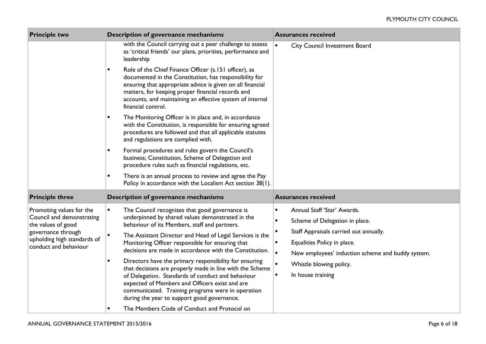| <b>Principle two</b><br>Description of governance mechanisms |                                                                                                                                                                                                                                                                                                                                                                            | <b>Assurances received</b>                                                            |
|--------------------------------------------------------------|----------------------------------------------------------------------------------------------------------------------------------------------------------------------------------------------------------------------------------------------------------------------------------------------------------------------------------------------------------------------------|---------------------------------------------------------------------------------------|
|                                                              | with the Council carrying out a peer challenge to assess<br>as 'critical friends' our plans, priorities, performance and<br>leadership                                                                                                                                                                                                                                     | $\blacksquare$<br>City Council Investment Board                                       |
|                                                              | Role of the Chief Finance Officer (s.151 officer), as<br>documented in the Constitution, has responsibility for<br>ensuring that appropriate advice is given on all financial<br>matters, for keeping proper financial records and<br>accounts, and maintaining an effective system of internal<br>financial control.                                                      |                                                                                       |
|                                                              | The Monitoring Officer is in place and, in accordance<br>$\blacksquare$<br>with the Constitution, is responsible for ensuring agreed<br>procedures are followed and that all applicable statutes<br>and regulations are complied with.                                                                                                                                     |                                                                                       |
|                                                              | Formal procedures and rules govern the Council's<br>٠<br>business; Constitution, Scheme of Delegation and<br>procedure rules such as financial regulations, etc.                                                                                                                                                                                                           |                                                                                       |
|                                                              | There is an annual process to review and agree the Pay<br>Policy in accordance with the Localism Act section 38(1).                                                                                                                                                                                                                                                        |                                                                                       |
| <b>Principle three</b>                                       | Description of governance mechanisms                                                                                                                                                                                                                                                                                                                                       | <b>Assurances received</b>                                                            |
| Promoting values for the                                     | The Council recognizes that good governance is<br>٠                                                                                                                                                                                                                                                                                                                        | Annual Staff 'Star' Awards.<br>$\blacksquare$                                         |
| Council and demonstrating<br>the values of good              | underpinned by shared values demonstrated in the<br>behaviour of its Members, staff and partners.<br>The Assistant Director and Head of Legal Services is the<br>$\blacksquare$<br>Monitoring Officer responsible for ensuring that<br>decisions are made in accordance with the Constitution.<br>Directors have the primary responsibility for ensuring<br>$\blacksquare$ | $\blacksquare$<br>Scheme of Delegation in place.                                      |
| governance through<br>upholding high standards of            |                                                                                                                                                                                                                                                                                                                                                                            | Staff Appraisals carried out annually.                                                |
| conduct and behaviour                                        |                                                                                                                                                                                                                                                                                                                                                                            | $\blacksquare$<br>Equalities Policy in place.                                         |
|                                                              |                                                                                                                                                                                                                                                                                                                                                                            | $\blacksquare$<br>New employees' induction scheme and buddy system.<br>$\blacksquare$ |
|                                                              | that decisions are properly made in line with the Scheme<br>of Delegation. Standards of conduct and behaviour<br>expected of Members and Officers exist and are<br>communicated. Training programs were in operation<br>during the year to support good governance.                                                                                                        | Whistle blowing policy.<br>In house training<br>٠                                     |
|                                                              | The Members Code of Conduct and Protocol on                                                                                                                                                                                                                                                                                                                                |                                                                                       |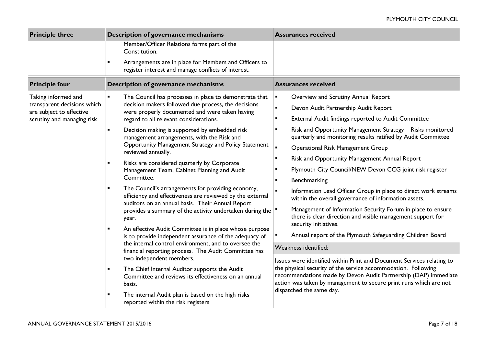| <b>Principle three</b>                                                                                       | Description of governance mechanisms                                                                                                                                                                                                                                                                                                                                                                                                                                                                                                                                                                                                                                                                                                                                                                                                                                                                                                                                                                                                                                                                                                                                                                                                                                               | <b>Assurances received</b>                                                                                                                                                                                                                                                                                                                                                                                                                                                                                                                                                                                                                                                                                                                                                                                                                                                                                                                                                                                                                                                                                                                                                                                                                                 |
|--------------------------------------------------------------------------------------------------------------|------------------------------------------------------------------------------------------------------------------------------------------------------------------------------------------------------------------------------------------------------------------------------------------------------------------------------------------------------------------------------------------------------------------------------------------------------------------------------------------------------------------------------------------------------------------------------------------------------------------------------------------------------------------------------------------------------------------------------------------------------------------------------------------------------------------------------------------------------------------------------------------------------------------------------------------------------------------------------------------------------------------------------------------------------------------------------------------------------------------------------------------------------------------------------------------------------------------------------------------------------------------------------------|------------------------------------------------------------------------------------------------------------------------------------------------------------------------------------------------------------------------------------------------------------------------------------------------------------------------------------------------------------------------------------------------------------------------------------------------------------------------------------------------------------------------------------------------------------------------------------------------------------------------------------------------------------------------------------------------------------------------------------------------------------------------------------------------------------------------------------------------------------------------------------------------------------------------------------------------------------------------------------------------------------------------------------------------------------------------------------------------------------------------------------------------------------------------------------------------------------------------------------------------------------|
|                                                                                                              | Member/Officer Relations forms part of the<br>Constitution.<br>Arrangements are in place for Members and Officers to<br>register interest and manage conflicts of interest.                                                                                                                                                                                                                                                                                                                                                                                                                                                                                                                                                                                                                                                                                                                                                                                                                                                                                                                                                                                                                                                                                                        |                                                                                                                                                                                                                                                                                                                                                                                                                                                                                                                                                                                                                                                                                                                                                                                                                                                                                                                                                                                                                                                                                                                                                                                                                                                            |
| <b>Principle four</b>                                                                                        | Description of governance mechanisms                                                                                                                                                                                                                                                                                                                                                                                                                                                                                                                                                                                                                                                                                                                                                                                                                                                                                                                                                                                                                                                                                                                                                                                                                                               | <b>Assurances received</b>                                                                                                                                                                                                                                                                                                                                                                                                                                                                                                                                                                                                                                                                                                                                                                                                                                                                                                                                                                                                                                                                                                                                                                                                                                 |
| Taking informed and<br>transparent decisions which<br>are subject to effective<br>scrutiny and managing risk | The Council has processes in place to demonstrate that<br>$\blacksquare$<br>decision makers followed due process, the decisions<br>were properly documented and were taken having<br>regard to all relevant considerations.<br>Decision making is supported by embedded risk<br>$\blacksquare$<br>management arrangements, with the Risk and<br>Opportunity Management Strategy and Policy Statement<br>reviewed annually.<br>Risks are considered quarterly by Corporate<br>Management Team, Cabinet Planning and Audit<br>Committee.<br>The Council's arrangements for providing economy,<br>efficiency and effectiveness are reviewed by the external<br>auditors on an annual basis. Their Annual Report<br>provides a summary of the activity undertaken during the<br>year.<br>An effective Audit Committee is in place whose purpose<br>$\blacksquare$<br>is to provide independent assurance of the adequacy of<br>the internal control environment, and to oversee the<br>financial reporting process. The Audit Committee has<br>two independent members.<br>The Chief Internal Auditor supports the Audit<br>Committee and reviews its effectiveness on an annual<br>basis.<br>The internal Audit plan is based on the high risks<br>reported within the risk registers | Overview and Scrutiny Annual Report<br>$\blacksquare$<br>Devon Audit Partnership Audit Report<br>$\blacksquare$<br>External Audit findings reported to Audit Committee<br>$\blacksquare$<br>Risk and Opportunity Management Strategy - Risks monitored<br>quarterly and monitoring results ratified by Audit Committee<br>$\blacksquare$<br><b>Operational Risk Management Group</b><br>Risk and Opportunity Management Annual Report<br>$\blacksquare$<br>Plymouth City Council/NEW Devon CCG joint risk register<br>Benchmarking<br>$\blacksquare$<br>$\blacksquare$<br>Information Lead Officer Group in place to direct work streams<br>within the overall governance of information assets.<br>Management of Information Security Forum in place to ensure<br>there is clear direction and visible management support for<br>security initiatives.<br>Annual report of the Plymouth Safeguarding Children Board<br>Weakness identified:<br>Issues were identified within Print and Document Services relating to<br>the physical security of the service accommodation. Following<br>recommendations made by Devon Audit Partnership (DAP) immediate<br>action was taken by management to secure print runs which are not<br>dispatched the same day. |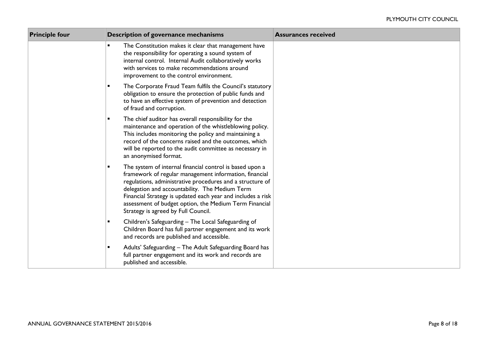| <b>Principle four</b> | Description of governance mechanisms                                                                                                                                                                                                                                                                                                                                                              | <b>Assurances received</b> |
|-----------------------|---------------------------------------------------------------------------------------------------------------------------------------------------------------------------------------------------------------------------------------------------------------------------------------------------------------------------------------------------------------------------------------------------|----------------------------|
|                       | The Constitution makes it clear that management have<br>$\blacksquare$<br>the responsibility for operating a sound system of<br>internal control. Internal Audit collaboratively works<br>with services to make recommendations around<br>improvement to the control environment.                                                                                                                 |                            |
|                       | The Corporate Fraud Team fulfils the Council's statutory<br>$\blacksquare$<br>obligation to ensure the protection of public funds and<br>to have an effective system of prevention and detection<br>of fraud and corruption.                                                                                                                                                                      |                            |
|                       | The chief auditor has overall responsibility for the<br>$\blacksquare$<br>maintenance and operation of the whistleblowing policy.<br>This includes monitoring the policy and maintaining a<br>record of the concerns raised and the outcomes, which<br>will be reported to the audit committee as necessary in<br>an anonymised format.                                                           |                            |
|                       | The system of internal financial control is based upon a<br>framework of regular management information, financial<br>regulations, administrative procedures and a structure of<br>delegation and accountability. The Medium Term<br>Financial Strategy is updated each year and includes a risk<br>assessment of budget option, the Medium Term Financial<br>Strategy is agreed by Full Council. |                            |
|                       | Children's Safeguarding - The Local Safeguarding of<br>Children Board has full partner engagement and its work<br>and records are published and accessible.                                                                                                                                                                                                                                       |                            |
|                       | Adults' Safeguarding - The Adult Safeguarding Board has<br>full partner engagement and its work and records are<br>published and accessible.                                                                                                                                                                                                                                                      |                            |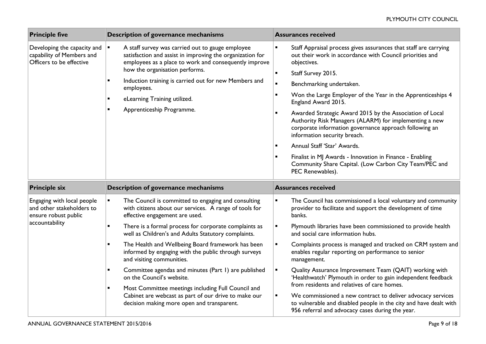| <b>Principle five</b>                                                                | Description of governance mechanisms                                                                                                                                                     | <b>Assurances received</b>                                                                                                                                                                                                                                                                                       |  |  |
|--------------------------------------------------------------------------------------|------------------------------------------------------------------------------------------------------------------------------------------------------------------------------------------|------------------------------------------------------------------------------------------------------------------------------------------------------------------------------------------------------------------------------------------------------------------------------------------------------------------|--|--|
| Developing the capacity and<br>capability of Members and<br>Officers to be effective | $\blacksquare$<br>A staff survey was carried out to gauge employee<br>satisfaction and assist in improving the organization for<br>employees as a place to work and consequently improve | Staff Appraisal process gives assurances that staff are carrying<br>$\blacksquare$<br>out their work in accordance with Council priorities and<br>objectives.                                                                                                                                                    |  |  |
|                                                                                      | how the organisation performs.<br>Induction training is carried out for new Members and<br>$\blacksquare$<br>employees.<br>eLearning Training utilized.<br>Apprenticeship Programme.     | Staff Survey 2015.<br>$\blacksquare$<br>$\blacksquare$<br>Benchmarking undertaken.<br>Won the Large Employer of the Year in the Apprenticeships 4<br>$\blacksquare$<br>England Award 2015.<br>Awarded Strategic Award 2015 by the Association of Local<br>Authority Risk Managers (ALARM) for implementing a new |  |  |
|                                                                                      |                                                                                                                                                                                          | corporate information governance approach following an<br>information security breach.<br>Annual Staff 'Star' Awards.<br>$\blacksquare$<br>Finalist in MJ Awards - Innovation in Finance - Enabling<br>Community Share Capital. (Low Carbon City Team/PEC and<br>PEC Renewables).                                |  |  |
| <b>Principle six</b>                                                                 | Description of governance mechanisms                                                                                                                                                     | <b>Assurances received</b>                                                                                                                                                                                                                                                                                       |  |  |
|                                                                                      |                                                                                                                                                                                          |                                                                                                                                                                                                                                                                                                                  |  |  |
| Engaging with local people<br>and other stakeholders to<br>ensure robust public      | $\blacksquare$<br>The Council is committed to engaging and consulting<br>with citizens about our services. A range of tools for<br>effective engagement are used.                        | $\blacksquare$<br>The Council has commissioned a local voluntary and community<br>provider to facilitate and support the development of time<br>banks.                                                                                                                                                           |  |  |
| accountability                                                                       | There is a formal process for corporate complaints as<br>$\blacksquare$<br>well as Children's and Adults Statutory complaints.                                                           | Plymouth libraries have been commissioned to provide health<br>$\blacksquare$<br>and social care information hubs.                                                                                                                                                                                               |  |  |
|                                                                                      | The Health and Wellbeing Board framework has been<br>$\blacksquare$<br>informed by engaging with the public through surveys<br>and visiting communities.                                 | Complaints process is managed and tracked on CRM system and<br>$\blacksquare$<br>enables regular reporting on performance to senior<br>management.                                                                                                                                                               |  |  |
|                                                                                      | Committee agendas and minutes (Part 1) are published<br>on the Council's website.<br>Most Committee meetings including Full Council and<br>$\blacksquare$                                | Quality Assurance Improvement Team (QAIT) working with<br>$\blacksquare$<br>'Healthwatch' Plymouth in order to gain independent feedback<br>from residents and relatives of care homes.                                                                                                                          |  |  |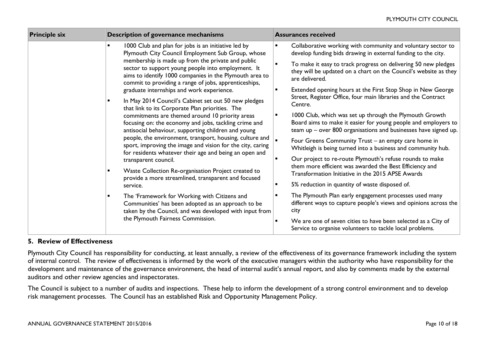| <b>Principle six</b><br>Description of governance mechanisms                                                                                                                                                                                                                                                                                                                                                                                                                                                                                                                                                                                                                                                                                                                                                                                                                                                                                                                                                                                                                                                                                                                                                                                       | <b>Assurances received</b>                                                                                                                                                                                                                                                                                                                                                                                                                                                                                                                                                                                                                                                                                                                                                                                                                                                                                                                                                                                                                                                                                                                                                                                                                               |
|----------------------------------------------------------------------------------------------------------------------------------------------------------------------------------------------------------------------------------------------------------------------------------------------------------------------------------------------------------------------------------------------------------------------------------------------------------------------------------------------------------------------------------------------------------------------------------------------------------------------------------------------------------------------------------------------------------------------------------------------------------------------------------------------------------------------------------------------------------------------------------------------------------------------------------------------------------------------------------------------------------------------------------------------------------------------------------------------------------------------------------------------------------------------------------------------------------------------------------------------------|----------------------------------------------------------------------------------------------------------------------------------------------------------------------------------------------------------------------------------------------------------------------------------------------------------------------------------------------------------------------------------------------------------------------------------------------------------------------------------------------------------------------------------------------------------------------------------------------------------------------------------------------------------------------------------------------------------------------------------------------------------------------------------------------------------------------------------------------------------------------------------------------------------------------------------------------------------------------------------------------------------------------------------------------------------------------------------------------------------------------------------------------------------------------------------------------------------------------------------------------------------|
| 1000 Club and plan for jobs is an initiative led by<br>Plymouth City Council Employment Sub Group, whose<br>membership is made up from the private and public<br>$\blacksquare$<br>sector to support young people into employment. It<br>aims to identify 1000 companies in the Plymouth area to<br>commit to providing a range of jobs, apprenticeships,<br>graduate internships and work experience.<br>In May 2014 Council's Cabinet set out 50 new pledges<br>that link to its Corporate Plan priorities. The<br>commitments are themed around 10 priority areas<br>focusing on: the economy and jobs, tackling crime and<br>antisocial behaviour, supporting children and young<br>people, the environment, transport, housing, culture and<br>sport, improving the image and vision for the city, caring<br>for residents whatever their age and being an open and<br>transparent council.<br>Waste Collection Re-organisation Project created to<br>$\blacksquare$<br>provide a more streamlined, transparent and focused<br>service.<br>The 'Framework for Working with Citizens and<br>Communities' has been adopted as an approach to be<br>taken by the Council, and was developed with input from<br>the Plymouth Fairness Commission. | Collaborative working with community and voluntary sector to<br>develop funding bids drawing in external funding to the city.<br>To make it easy to track progress on delivering 50 new pledges<br>they will be updated on a chart on the Council's website as they<br>are delivered.<br>Extended opening hours at the First Stop Shop in New George<br>Street, Register Office, four main libraries and the Contract<br>Centre.<br>1000 Club, which was set up through the Plymouth Growth<br>Board aims to make it easier for young people and employers to<br>team up - over 800 organisations and businesses have signed up.<br>Four Greens Community Trust - an empty care home in<br>Whitleigh is being turned into a business and community hub.<br>Our project to re-route Plymouth's refuse rounds to make<br>them more efficient was awarded the Best Efficiency and<br>Transformation Initiative in the 2015 APSE Awards<br>5% reduction in quantity of waste disposed of.<br>The Plymouth Plan early engagement processes used many<br>different ways to capture people's views and opinions across the<br>city<br>We are one of seven cities to have been selected as a City of<br>Service to organise volunteers to tackle local problems. |

### **5. Review of Effectiveness**

Plymouth City Council has responsibility for conducting, at least annually, a review of the effectiveness of its governance framework including the system of internal control. The review of effectiveness is informed by the work of the executive managers within the authority who have responsibility for the development and maintenance of the governance environment, the head of internal audit's annual report, and also by comments made by the external auditors and other review agencies and inspectorates.

The Council is subject to a number of audits and inspections. These help to inform the development of a strong control environment and to develop risk management processes. The Council has an established Risk and Opportunity Management Policy.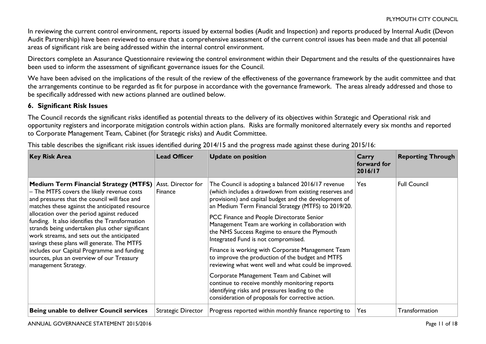In reviewing the current control environment, reports issued by external bodies (Audit and Inspection) and reports produced by Internal Audit (Devon Audit Partnership) have been reviewed to ensure that a comprehensive assessment of the current control issues has been made and that all potential areas of significant risk are being addressed within the internal control environment.

Directors complete an Assurance Questionnaire reviewing the control environment within their Department and the results of the questionnaires have been used to inform the assessment of significant governance issues for the Council.

We have been advised on the implications of the result of the review of the effectiveness of the governance framework by the audit committee and that the arrangements continue to be regarded as fit for purpose in accordance with the governance framework. The areas already addressed and those to be specifically addressed with new actions planned are outlined below.

# **6. Significant Risk Issues**

The Council records the significant risks identified as potential threats to the delivery of its objectives within Strategic and Operational risk and opportunity registers and incorporate mitigation controls within action plans. Risks are formally monitored alternately every six months and reported to Corporate Management Team, Cabinet (for Strategic risks) and Audit Committee.

| <b>Key Risk Area</b>                                                                                                                                                                                                                                                                                                                                                                                                                                                                                                                                     | <b>Lead Officer</b>           | <b>Update on position</b>                                                                                                                                                                                                                                                                                                                                                                                                                                                                                                                                                                                                                                                                                                                                                                      | Carry<br>forward for<br>2016/17 | <b>Reporting Through</b> |
|----------------------------------------------------------------------------------------------------------------------------------------------------------------------------------------------------------------------------------------------------------------------------------------------------------------------------------------------------------------------------------------------------------------------------------------------------------------------------------------------------------------------------------------------------------|-------------------------------|------------------------------------------------------------------------------------------------------------------------------------------------------------------------------------------------------------------------------------------------------------------------------------------------------------------------------------------------------------------------------------------------------------------------------------------------------------------------------------------------------------------------------------------------------------------------------------------------------------------------------------------------------------------------------------------------------------------------------------------------------------------------------------------------|---------------------------------|--------------------------|
| Medium Term Financial Strategy (MTFS)<br>- The MTFS covers the likely revenue costs<br>and pressures that the council will face and<br>matches these against the anticipated resource<br>allocation over the period against reduced<br>funding. It also identifies the Transformation<br>strands being undertaken plus other significant<br>work streams, and sets out the anticipated<br>savings these plans will generate. The MTFS<br>includes our Capital Programme and funding<br>sources, plus an overview of our Treasury<br>management Strategy. | Asst. Director for<br>Finance | The Council is adopting a balanced 2016/17 revenue<br>(which includes a drawdown from existing reserves and<br>provisions) and capital budget and the development of<br>an Medium Term Financial Strategy (MTFS) to 2019/20.<br>PCC Finance and People Directorate Senior<br>Management Team are working in collaboration with<br>the NHS Success Regime to ensure the Plymouth<br>Integrated Fund is not compromised.<br>Finance is working with Corporate Management Team<br>to improve the production of the budget and MTFS<br>reviewing what went well and what could be improved.<br>Corporate Management Team and Cabinet will<br>continue to receive monthly monitoring reports<br>identifying risks and pressures leading to the<br>consideration of proposals for corrective action. | <b>Yes</b>                      | <b>Full Council</b>      |
| Being unable to deliver Council services                                                                                                                                                                                                                                                                                                                                                                                                                                                                                                                 | Strategic Director            | Progress reported within monthly finance reporting to                                                                                                                                                                                                                                                                                                                                                                                                                                                                                                                                                                                                                                                                                                                                          | Yes                             | Transformation           |

This table describes the significant risk issues identified during 2014/15 and the progress made against these during 2015/16: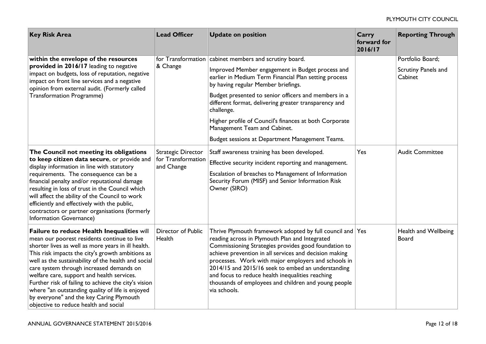| <b>Key Risk Area</b>                                                                                                                                                                                                                                                                                                                                                                                                                                                                                                                                  | <b>Lead Officer</b>                                    | <b>Update on position</b>                                                                                                                                                                                                                                                                                                                                                                                                                                                              | Carry<br>forward for<br>2016/17 | <b>Reporting Through</b>                           |
|-------------------------------------------------------------------------------------------------------------------------------------------------------------------------------------------------------------------------------------------------------------------------------------------------------------------------------------------------------------------------------------------------------------------------------------------------------------------------------------------------------------------------------------------------------|--------------------------------------------------------|----------------------------------------------------------------------------------------------------------------------------------------------------------------------------------------------------------------------------------------------------------------------------------------------------------------------------------------------------------------------------------------------------------------------------------------------------------------------------------------|---------------------------------|----------------------------------------------------|
| within the envelope of the resources<br>provided in 2016/17 leading to negative<br>impact on budgets, loss of reputation, negative<br>impact on front line services and a negative<br>opinion from external audit. (Formerly called<br><b>Transformation Programme)</b>                                                                                                                                                                                                                                                                               | & Change                                               | for Transformation cabinet members and scrutiny board.<br>Improved Member engagement in Budget process and<br>earlier in Medium Term Financial Plan setting process<br>by having regular Member briefings.<br>Budget presented to senior officers and members in a<br>different format, delivering greater transparency and<br>challenge.<br>Higher profile of Council's finances at both Corporate<br>Management Team and Cabinet.<br>Budget sessions at Department Management Teams. |                                 | Portfolio Board;<br>Scrutiny Panels and<br>Cabinet |
| The Council not meeting its obligations<br>to keep citizen data secure, or provide and<br>display information in line with statutory<br>requirements. The consequence can be a<br>financial penalty and/or reputational damage<br>resulting in loss of trust in the Council which<br>will affect the ability of the Council to work<br>efficiently and effectively with the public,<br>contractors or partner organisations (formerly<br>Information Governance)                                                                                      | Strategic Director<br>for Transformation<br>and Change | Staff awareness training has been developed.<br>Effective security incident reporting and management.<br>Escalation of breaches to Management of Information<br>Security Forum (MISF) and Senior Information Risk<br>Owner (SIRO)                                                                                                                                                                                                                                                      | Yes                             | <b>Audit Committee</b>                             |
| Failure to reduce Health Inequalities will<br>mean our poorest residents continue to live<br>shorter lives as well as more years in ill health.<br>This risk impacts the city's growth ambitions as<br>well as the sustainability of the health and social<br>care system through increased demands on<br>welfare care, support and health services.<br>Further risk of failing to achieve the city's vision<br>where "an outstanding quality of life is enjoyed<br>by everyone" and the key Caring Plymouth<br>objective to reduce health and social | Director of Public<br>Health                           | Thrive Plymouth framework adopted by full council and Yes<br>reading across in Plymouth Plan and Integrated<br>Commissioning Strategies provides good foundation to<br>achieve prevention in all services and decision making<br>processes. Work with major employers and schools in<br>2014/15 and 2015/16 seek to embed an understanding<br>and focus to reduce health inequalities reaching<br>thousands of employees and children and young people<br>via schools.                 |                                 | Health and Wellbeing<br><b>Board</b>               |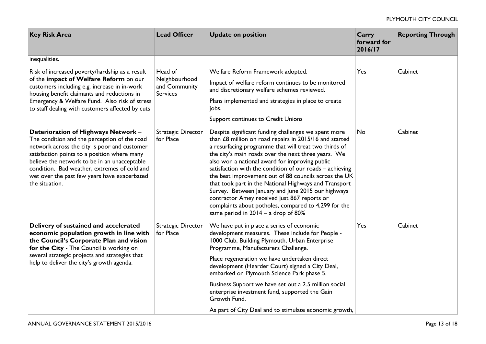| <b>Key Risk Area</b>                                                                                                                                                                                                                                                                                                                                  | <b>Lead Officer</b>                                          | <b>Update on position</b>                                                                                                                                                                                                                                                                                                                                                                                                                                                                                                                                                                                                                                             | Carry<br>forward for<br>2016/17 | <b>Reporting Through</b> |
|-------------------------------------------------------------------------------------------------------------------------------------------------------------------------------------------------------------------------------------------------------------------------------------------------------------------------------------------------------|--------------------------------------------------------------|-----------------------------------------------------------------------------------------------------------------------------------------------------------------------------------------------------------------------------------------------------------------------------------------------------------------------------------------------------------------------------------------------------------------------------------------------------------------------------------------------------------------------------------------------------------------------------------------------------------------------------------------------------------------------|---------------------------------|--------------------------|
| inequalities.                                                                                                                                                                                                                                                                                                                                         |                                                              |                                                                                                                                                                                                                                                                                                                                                                                                                                                                                                                                                                                                                                                                       |                                 |                          |
| Risk of increased poverty/hardship as a result<br>of the impact of Welfare Reform on our<br>customers including e.g. increase in in-work<br>housing benefit claimants and reductions in<br>Emergency & Welfare Fund. Also risk of stress<br>to staff dealing with customers affected by cuts                                                          | Head of<br>Neighbourhood<br>and Community<br><b>Services</b> | Welfare Reform Framework adopted.<br>Impact of welfare reform continues to be monitored<br>and discretionary welfare schemes reviewed.<br>Plans implemented and strategies in place to create<br>jobs.<br>Support continues to Credit Unions                                                                                                                                                                                                                                                                                                                                                                                                                          | Yes                             | Cabinet                  |
| Deterioration of Highways Network -<br>The condition and the perception of the road<br>network across the city is poor and customer<br>satisfaction points to a position where many<br>believe the network to be in an unacceptable<br>condition. Bad weather, extremes of cold and<br>wet over the past few years have exacerbated<br>the situation. | <b>Strategic Director</b><br>for Place                       | Despite significant funding challenges we spent more<br>than £8 million on road repairs in 2015/16 and started<br>a resurfacing programme that will treat two thirds of<br>the city's main roads over the next three years. We<br>also won a national award for improving public<br>satisfaction with the condition of our roads - achieving<br>the best improvement out of 88 councils across the UK<br>that took part in the National Highways and Transport<br>Survey. Between January and June 2015 our highways<br>contractor Amey received just 867 reports or<br>complaints about potholes, compared to 4,299 for the<br>same period in $2014 - a$ drop of 80% | No                              | Cabinet                  |
| Delivery of sustained and accelerated<br>economic population growth in line with<br>the Council's Corporate Plan and vision<br>for the City - The Council is working on<br>several strategic projects and strategies that<br>help to deliver the city's growth agenda.                                                                                | Strategic Director<br>for Place                              | We have put in place a series of economic<br>development measures. These include for People -<br>1000 Club, Building Plymouth, Urban Enterprise<br>Programme, Manufacturers Challenge.<br>Place regeneration we have undertaken direct<br>development (Hearder Court) signed a City Deal,<br>embarked on Plymouth Science Park phase 5.<br>Business Support we have set out a 2.5 million social<br>enterprise investment fund, supported the Gain<br>Growth Fund.                                                                                                                                                                                                    | Yes                             | Cabinet                  |
|                                                                                                                                                                                                                                                                                                                                                       |                                                              | As part of City Deal and to stimulate economic growth,                                                                                                                                                                                                                                                                                                                                                                                                                                                                                                                                                                                                                |                                 |                          |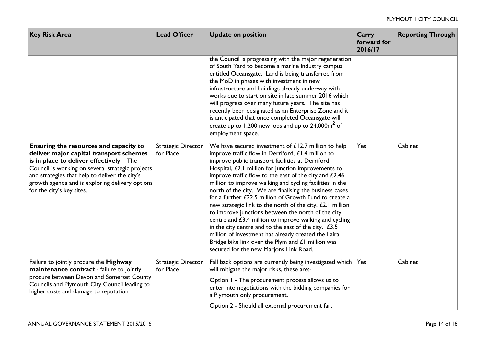| <b>Key Risk Area</b>                                                                                                                                                                                                                                                                                                | <b>Lead Officer</b>             | <b>Update on position</b>                                                                                                                                                                                                                                                                                                                                                                                                                                                                                                                                                                                                                                                                                                                                                                                                                                      | Carry<br>forward for<br>2016/17 | <b>Reporting Through</b> |
|---------------------------------------------------------------------------------------------------------------------------------------------------------------------------------------------------------------------------------------------------------------------------------------------------------------------|---------------------------------|----------------------------------------------------------------------------------------------------------------------------------------------------------------------------------------------------------------------------------------------------------------------------------------------------------------------------------------------------------------------------------------------------------------------------------------------------------------------------------------------------------------------------------------------------------------------------------------------------------------------------------------------------------------------------------------------------------------------------------------------------------------------------------------------------------------------------------------------------------------|---------------------------------|--------------------------|
|                                                                                                                                                                                                                                                                                                                     |                                 | the Council is progressing with the major regeneration<br>of South Yard to become a marine industry campus<br>entitled Oceansgate. Land is being transferred from<br>the MoD in phases with investment in new<br>infrastructure and buildings already underway with<br>works due to start on site in late summer 2016 which<br>will progress over many future years. The site has<br>recently been designated as an Enterprise Zone and it<br>is anticipated that once completed Oceansgate will<br>create up to 1,200 new jobs and up to $24,000\text{m}^2$ of<br>employment space.                                                                                                                                                                                                                                                                           |                                 |                          |
| Ensuring the resources and capacity to<br>deliver major capital transport schemes<br>is in place to deliver effectively - The<br>Council is working on several strategic projects<br>and strategies that help to deliver the city's<br>growth agenda and is exploring delivery options<br>for the city's key sites. | Strategic Director<br>for Place | We have secured investment of $£12.7$ million to help<br>improve traffic flow in Derriford, £1.4 million to<br>improve public transport facilities at Derriford<br>Hospital, £2.1 million for junction improvements to<br>improve traffic flow to the east of the city and £2.46<br>million to improve walking and cycling facilities in the<br>north of the city. We are finalising the business cases<br>for a further £22.5 million of Growth Fund to create a<br>new strategic link to the north of the city, £2.1 million<br>to improve junctions between the north of the city<br>centre and £3.4 million to improve walking and cycling<br>in the city centre and to the east of the city. $£3.5$<br>million of investment has already created the Laira<br>Bridge bike link over the Plym and £1 million was<br>secured for the new Marjons Link Road. | Yes                             | Cabinet                  |
| Failure to jointly procure the Highway<br>maintenance contract - failure to jointly<br>procure between Devon and Somerset County<br>Councils and Plymouth City Council leading to<br>higher costs and damage to reputation                                                                                          | Strategic Director<br>for Place | Fall back options are currently being investigated which   Yes<br>will mitigate the major risks, these are:-<br>Option 1 - The procurement process allows us to<br>enter into negotiations with the bidding companies for<br>a Plymouth only procurement.<br>Option 2 - Should all external procurement fail,                                                                                                                                                                                                                                                                                                                                                                                                                                                                                                                                                  |                                 | Cabinet                  |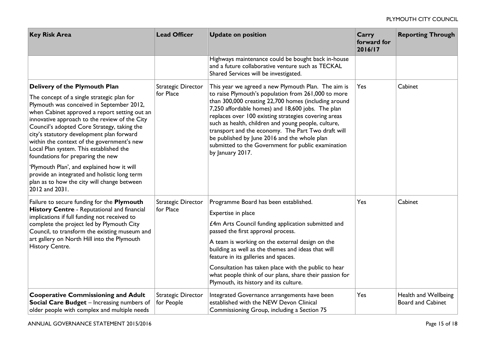| <b>Key Risk Area</b>                                                                                                                                                                                                                                                                                                                                                                                                                                                                                                                                                                                                | <b>Lead Officer</b>              | <b>Update on position</b>                                                                                                                                                                                                                                                                                                                                                                                                                                                                                              | Carry<br>forward for<br>2016/17 | <b>Reporting Through</b>                         |
|---------------------------------------------------------------------------------------------------------------------------------------------------------------------------------------------------------------------------------------------------------------------------------------------------------------------------------------------------------------------------------------------------------------------------------------------------------------------------------------------------------------------------------------------------------------------------------------------------------------------|----------------------------------|------------------------------------------------------------------------------------------------------------------------------------------------------------------------------------------------------------------------------------------------------------------------------------------------------------------------------------------------------------------------------------------------------------------------------------------------------------------------------------------------------------------------|---------------------------------|--------------------------------------------------|
|                                                                                                                                                                                                                                                                                                                                                                                                                                                                                                                                                                                                                     |                                  | Highways maintenance could be bought back in-house<br>and a future collaborative venture such as TECKAL<br>Shared Services will be investigated.                                                                                                                                                                                                                                                                                                                                                                       |                                 |                                                  |
| Delivery of the Plymouth Plan<br>The concept of a single strategic plan for<br>Plymouth was conceived in September 2012,<br>when Cabinet approved a report setting out an<br>innovative approach to the review of the City<br>Council's adopted Core Strategy, taking the<br>city's statutory development plan forward<br>within the context of the government's new<br>Local Plan system. This established the<br>foundations for preparing the new<br>'Plymouth Plan', and explained how it will<br>provide an integrated and holistic long term<br>plan as to how the city will change between<br>2012 and 2031. | Strategic Director<br>for Place  | This year we agreed a new Plymouth Plan. The aim is<br>to raise Plymouth's population from 261,000 to more<br>than 300,000 creating 22,700 homes (including around<br>7,250 affordable homes) and 18,600 jobs. The plan<br>replaces over 100 existing strategies covering areas<br>such as health, children and young people, culture,<br>transport and the economy. The Part Two draft will<br>be published by June 2016 and the whole plan<br>submitted to the Government for public examination<br>by January 2017. | Yes                             | Cabinet                                          |
| Failure to secure funding for the Plymouth<br>History Centre - Reputational and financial<br>implications if full funding not received to<br>complete the project led by Plymouth City<br>Council, to transform the existing museum and<br>art gallery on North Hill into the Plymouth<br>History Centre.                                                                                                                                                                                                                                                                                                           | Strategic Director<br>for Place  | Programme Board has been established.<br>Expertise in place<br>£4m Arts Council funding application submitted and<br>passed the first approval process.<br>A team is working on the external design on the<br>building as well as the themes and ideas that will<br>feature in its galleries and spaces.<br>Consultation has taken place with the public to hear<br>what people think of our plans, share their passion for<br>Plymouth, its history and its culture.                                                  | Yes                             | Cabinet                                          |
| <b>Cooperative Commissioning and Adult</b><br>Social Care Budget - Increasing numbers of<br>older people with complex and multiple needs                                                                                                                                                                                                                                                                                                                                                                                                                                                                            | Strategic Director<br>for People | Integrated Governance arrangements have been<br>established with the NEW Devon Clinical<br>Commissioning Group, including a Section 75                                                                                                                                                                                                                                                                                                                                                                                 | Yes                             | Health and Wellbeing<br><b>Board and Cabinet</b> |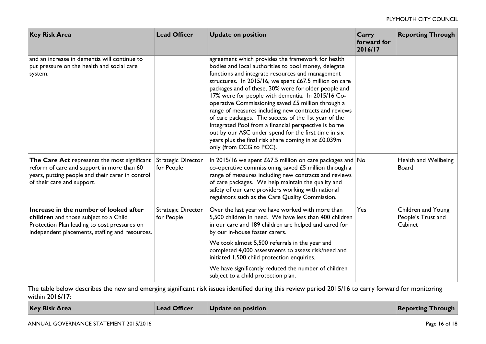| <b>Key Risk Area</b>                                                                                                                                                               | <b>Lead Officer</b>              | <b>Update on position</b>                                                                                                                                                                                                                                                                                                                                                                                                                                                                                                                                                                                                                                                                                       | Carry<br>forward for<br>2016/17 | <b>Reporting Through</b>                            |
|------------------------------------------------------------------------------------------------------------------------------------------------------------------------------------|----------------------------------|-----------------------------------------------------------------------------------------------------------------------------------------------------------------------------------------------------------------------------------------------------------------------------------------------------------------------------------------------------------------------------------------------------------------------------------------------------------------------------------------------------------------------------------------------------------------------------------------------------------------------------------------------------------------------------------------------------------------|---------------------------------|-----------------------------------------------------|
| and an increase in dementia will continue to<br>put pressure on the health and social care<br>system.                                                                              |                                  | agreement which provides the framework for health<br>bodies and local authorities to pool money, delegate<br>functions and integrate resources and management<br>structures. In 2015/16, we spent £67.5 million on care<br>packages and of these, 30% were for older people and<br>17% were for people with dementia. In 2015/16 Co-<br>operative Commissioning saved £5 million through a<br>range of measures including new contracts and reviews<br>of care packages. The success of the 1st year of the<br>Integrated Pool from a financial perspective is borne<br>out by our ASC under spend for the first time in six<br>years plus the final risk share coming in at £0.039m<br>only (from CCG to PCC). |                                 |                                                     |
| The Care Act represents the most significant<br>reform of care and support in more than 60<br>years, putting people and their carer in control<br>of their care and support.       | Strategic Director<br>for People | In 2015/16 we spent £67.5 million on care packages and $\overline{\text{No}}$<br>co-operative commissioning saved $£5$ million through a<br>range of measures including new contracts and reviews<br>of care packages. We help maintain the quality and<br>safety of our care providers working with national<br>regulators such as the Care Quality Commission.                                                                                                                                                                                                                                                                                                                                                |                                 | Health and Wellbeing<br><b>Board</b>                |
| Increase in the number of looked after<br>children and those subject to a Child<br>Protection Plan leading to cost pressures on<br>independent placements, staffing and resources. | Strategic Director<br>for People | Over the last year we have worked with more than<br>5,500 children in need. We have less than 400 children<br>in our care and 189 children are helped and cared for<br>by our in-house foster carers.<br>We took almost 5,500 referrals in the year and<br>completed 4,000 assessments to assess risk/need and<br>initiated 1,500 child protection enquiries.                                                                                                                                                                                                                                                                                                                                                   | Yes                             | Children and Young<br>People's Trust and<br>Cabinet |
|                                                                                                                                                                                    |                                  | We have significantly reduced the number of children<br>subject to a child protection plan.                                                                                                                                                                                                                                                                                                                                                                                                                                                                                                                                                                                                                     |                                 |                                                     |

The table below describes the new and emerging significant risk issues identified during this review period 2015/16 to carry forward for monitoring within 2016/17:

| <b>Key Risk Area</b> | Lead Officer | Update on position | <b>Reporting Through</b> |
|----------------------|--------------|--------------------|--------------------------|
|                      |              |                    |                          |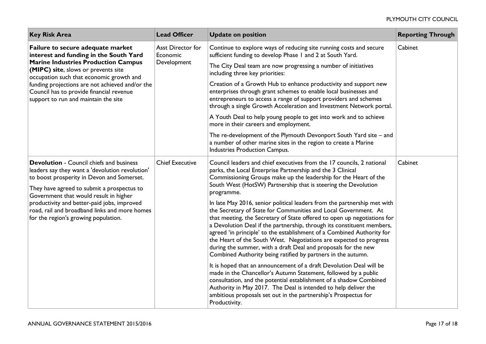| <b>Key Risk Area</b>                                                                                                                                                                                                                                                                                                                                | <b>Lead Officer</b>                          | <b>Update on position</b>                                                                                                                                                                                                                                                                                                                                                                                                                                                                                                                                                           | <b>Reporting Through</b> |
|-----------------------------------------------------------------------------------------------------------------------------------------------------------------------------------------------------------------------------------------------------------------------------------------------------------------------------------------------------|----------------------------------------------|-------------------------------------------------------------------------------------------------------------------------------------------------------------------------------------------------------------------------------------------------------------------------------------------------------------------------------------------------------------------------------------------------------------------------------------------------------------------------------------------------------------------------------------------------------------------------------------|--------------------------|
| Failure to secure adequate market<br>interest and funding in the South Yard<br><b>Marine Industries Production Campus</b><br>(MIPC) site, slows or prevents site<br>occupation such that economic growth and<br>funding projections are not achieved and/or the<br>Council has to provide financial revenue<br>support to run and maintain the site | Asst Director for<br>Economic<br>Development | Continue to explore ways of reducing site running costs and secure<br>sufficient funding to develop Phase I and 2 at South Yard.                                                                                                                                                                                                                                                                                                                                                                                                                                                    | Cabinet                  |
|                                                                                                                                                                                                                                                                                                                                                     |                                              | The City Deal team are now progressing a number of initiatives<br>including three key priorities:                                                                                                                                                                                                                                                                                                                                                                                                                                                                                   |                          |
|                                                                                                                                                                                                                                                                                                                                                     |                                              | Creation of a Growth Hub to enhance productivity and support new<br>enterprises through grant schemes to enable local businesses and<br>entrepreneurs to access a range of support providers and schemes<br>through a single Growth Acceleration and Investment Network portal.                                                                                                                                                                                                                                                                                                     |                          |
|                                                                                                                                                                                                                                                                                                                                                     |                                              | A Youth Deal to help young people to get into work and to achieve<br>more in their careers and employment.                                                                                                                                                                                                                                                                                                                                                                                                                                                                          |                          |
|                                                                                                                                                                                                                                                                                                                                                     |                                              | The re-development of the Plymouth Devonport South Yard site - and<br>a number of other marine sites in the region to create a Marine<br>Industries Production Campus.                                                                                                                                                                                                                                                                                                                                                                                                              |                          |
| <b>Devolution - Council chiefs and business</b><br>leaders say they want a 'devolution revolution'<br>to boost prosperity in Devon and Somerset.                                                                                                                                                                                                    | <b>Chief Executive</b>                       | Council leaders and chief executives from the 17 councils, 2 national<br>parks, the Local Enterprise Partnership and the 3 Clinical<br>Commissioning Groups make up the leadership for the Heart of the                                                                                                                                                                                                                                                                                                                                                                             | Cabinet                  |
| They have agreed to submit a prospectus to<br>Government that would result in higher<br>productivity and better-paid jobs, improved<br>road, rail and broadband links and more homes<br>for the region's growing population.                                                                                                                        |                                              | South West (HotSW) Partnership that is steering the Devolution<br>programme.                                                                                                                                                                                                                                                                                                                                                                                                                                                                                                        |                          |
|                                                                                                                                                                                                                                                                                                                                                     |                                              | In late May 2016, senior political leaders from the partnership met with<br>the Secretary of State for Communities and Local Government. At<br>that meeting, the Secretary of State offered to open up negotiations for<br>a Devolution Deal if the partnership, through its constituent members,<br>agreed 'in principle' to the establishment of a Combined Authority for<br>the Heart of the South West. Negotiations are expected to progress<br>during the summer, with a draft Deal and proposals for the new<br>Combined Authority being ratified by partners in the autumn. |                          |
|                                                                                                                                                                                                                                                                                                                                                     |                                              | It is hoped that an announcement of a draft Devolution Deal will be<br>made in the Chancellor's Autumn Statement, followed by a public<br>consultation, and the potential establishment of a shadow Combined<br>Authority in May 2017. The Deal is intended to help deliver the<br>ambitious proposals set out in the partnership's Prospectus for<br>Productivity.                                                                                                                                                                                                                 |                          |